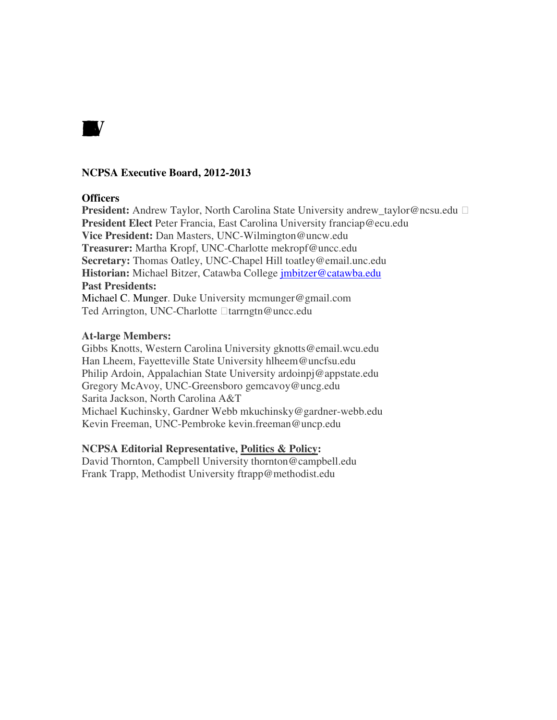

#### **NCPSA Executive Board, 2012-2013**

#### **Officers**

**President:** Andrew Taylor, North Carolina State University andrew taylor@ncsu.edu **President Elect** Peter Francia, East Carolina University franciap@ecu.edu **Vice President:** Dan Masters, UNC-Wilmington@uncw.edu **Treasurer:** Martha Kropf, UNC-Charlotte mekropf@uncc.edu **Secretary:** Thomas Oatley, UNC-Chapel Hill toatley@email.unc.edu **Historian:** Michael Bitzer, Catawba College jmbitzer@catawba.edu **Past Presidents:**  Michael C. Munger. Duke University mcmunger@gmail.com

Ted Arrington, UNC-Charlotte tarrngtn@uncc.edu

#### **At-large Members:**

Gibbs Knotts, Western Carolina University gknotts@email.wcu.edu Han Lheem, Fayetteville State University hlheem@uncfsu.edu Philip Ardoin, Appalachian State University ardoinpj@appstate.edu Gregory McAvoy, UNC-Greensboro gemcavoy@uncg.edu Sarita Jackson, North Carolina A&T Michael Kuchinsky, Gardner Webb mkuchinsky@gardner-webb.edu Kevin Freeman, UNC-Pembroke kevin.freeman@uncp.edu

#### **NCPSA Editorial Representative, Politics & Policy:**

David Thornton, Campbell University thornton@campbell.edu Frank Trapp, Methodist University ftrapp@methodist.edu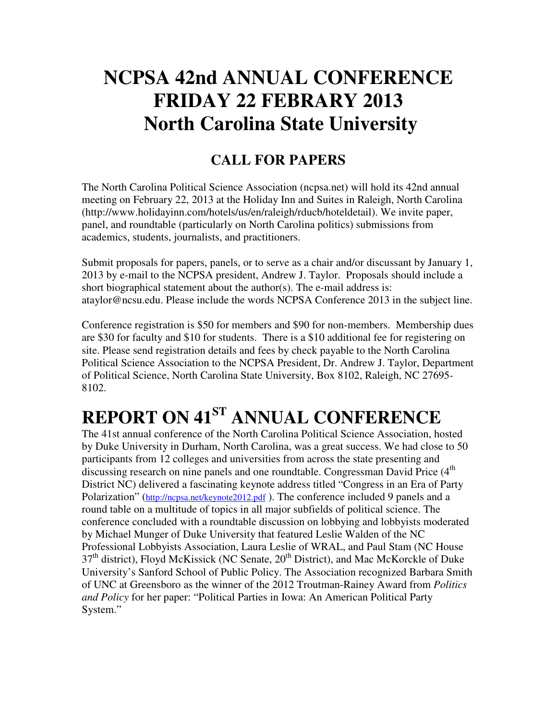## **NCPSA 42nd ANNUAL CONFERENCE FRIDAY 22 FEBRARY 2013 North Carolina State University**

### **CALL FOR PAPERS**

The North Carolina Political Science Association (ncpsa.net) will hold its 42nd annual meeting on February 22, 2013 at the Holiday Inn and Suites in Raleigh, North Carolina (http://www.holidayinn.com/hotels/us/en/raleigh/rducb/hoteldetail). We invite paper, panel, and roundtable (particularly on North Carolina politics) submissions from academics, students, journalists, and practitioners.

Submit proposals for papers, panels, or to serve as a chair and/or discussant by January 1, 2013 by e-mail to the NCPSA president, Andrew J. Taylor. Proposals should include a short biographical statement about the author(s). The e-mail address is: ataylor@ncsu.edu. Please include the words NCPSA Conference 2013 in the subject line.

Conference registration is \$50 for members and \$90 for non-members. Membership dues are \$30 for faculty and \$10 for students. There is a \$10 additional fee for registering on site. Please send registration details and fees by check payable to the North Carolina Political Science Association to the NCPSA President, Dr. Andrew J. Taylor, Department of Political Science, North Carolina State University, Box 8102, Raleigh, NC 27695- 8102.

# **REPORT ON 41ST ANNUAL CONFERENCE**

The 41st annual conference of the North Carolina Political Science Association, hosted by Duke University in Durham, North Carolina, was a great success. We had close to 50 participants from 12 colleges and universities from across the state presenting and discussing research on nine panels and one roundtable. Congressman David Price (4<sup>th</sup>) District NC) delivered a fascinating keynote address titled "Congress in an Era of Party Polarization" (http://ncpsa.net/keynote2012.pdf ). The conference included 9 panels and a round table on a multitude of topics in all major subfields of political science. The conference concluded with a roundtable discussion on lobbying and lobbyists moderated by Michael Munger of Duke University that featured Leslie Walden of the NC Professional Lobbyists Association, Laura Leslie of WRAL, and Paul Stam (NC House 37<sup>th</sup> district), Floyd McKissick (NC Senate, 20<sup>th</sup> District), and Mac McKorckle of Duke University's Sanford School of Public Policy. The Association recognized Barbara Smith of UNC at Greensboro as the winner of the 2012 Troutman-Rainey Award from *Politics and Policy* for her paper: "Political Parties in Iowa: An American Political Party System."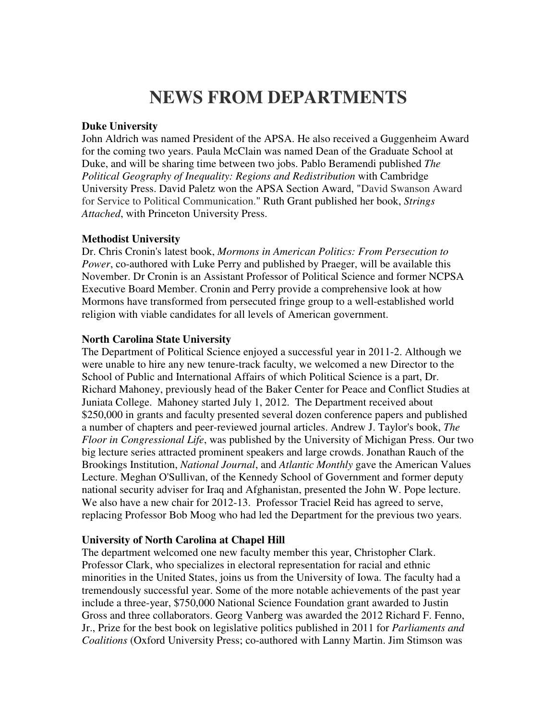### **NEWS FROM DEPARTMENTS**

#### **Duke University**

John Aldrich was named President of the APSA. He also received a Guggenheim Award for the coming two years. Paula McClain was named Dean of the Graduate School at Duke, and will be sharing time between two jobs. Pablo Beramendi published *The Political Geography of Inequality: Regions and Redistribution* with Cambridge University Press. David Paletz won the APSA Section Award, "David Swanson Award for Service to Political Communication." Ruth Grant published her book, *Strings Attached*, with Princeton University Press.

#### **Methodist University**

Dr. Chris Cronin's latest book, *Mormons in American Politics: From Persecution to Power*, co-authored with Luke Perry and published by Praeger, will be available this November. Dr Cronin is an Assistant Professor of Political Science and former NCPSA Executive Board Member. Cronin and Perry provide a comprehensive look at how Mormons have transformed from persecuted fringe group to a well-established world religion with viable candidates for all levels of American government.

#### **North Carolina State University**

The Department of Political Science enjoyed a successful year in 2011-2. Although we were unable to hire any new tenure-track faculty, we welcomed a new Director to the School of Public and International Affairs of which Political Science is a part, Dr. Richard Mahoney, previously head of the Baker Center for Peace and Conflict Studies at Juniata College. Mahoney started July 1, 2012. The Department received about \$250,000 in grants and faculty presented several dozen conference papers and published a number of chapters and peer-reviewed journal articles. Andrew J. Taylor's book, *The Floor in Congressional Life*, was published by the University of Michigan Press. Our two big lecture series attracted prominent speakers and large crowds. Jonathan Rauch of the Brookings Institution, *National Journal*, and *Atlantic Monthly* gave the American Values Lecture. Meghan O'Sullivan, of the Kennedy School of Government and former deputy national security adviser for Iraq and Afghanistan, presented the John W. Pope lecture. We also have a new chair for 2012-13. Professor Traciel Reid has agreed to serve, replacing Professor Bob Moog who had led the Department for the previous two years.

#### **University of North Carolina at Chapel Hill**

The department welcomed one new faculty member this year, Christopher Clark. Professor Clark, who specializes in electoral representation for racial and ethnic minorities in the United States, joins us from the University of Iowa. The faculty had a tremendously successful year. Some of the more notable achievements of the past year include a three-year, \$750,000 National Science Foundation grant awarded to Justin Gross and three collaborators. Georg Vanberg was awarded the 2012 Richard F. Fenno, Jr., Prize for the best book on legislative politics published in 2011 for *Parliaments and Coalitions* (Oxford University Press; co-authored with Lanny Martin. Jim Stimson was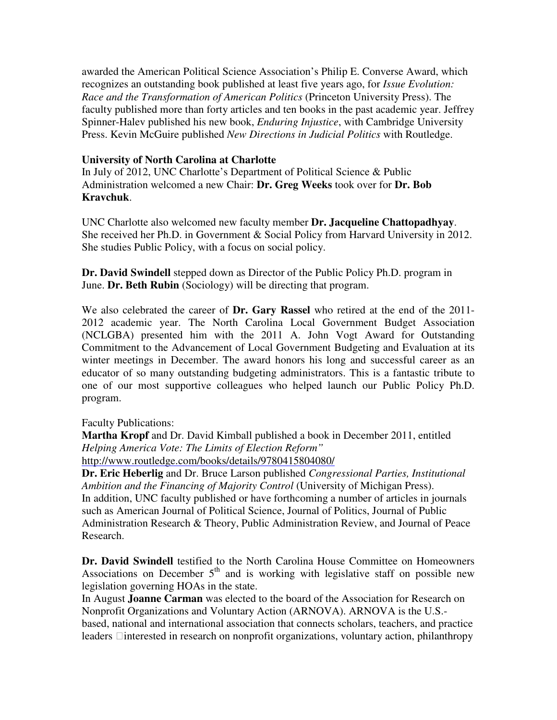awarded the American Political Science Association's Philip E. Converse Award, which recognizes an outstanding book published at least five years ago, for *Issue Evolution: Race and the Transformation of American Politics* (Princeton University Press). The faculty published more than forty articles and ten books in the past academic year. Jeffrey Spinner-Halev published his new book, *Enduring Injustice*, with Cambridge University Press. Kevin McGuire published *New Directions in Judicial Politics* with Routledge.

#### **University of North Carolina at Charlotte**

In July of 2012, UNC Charlotte's Department of Political Science & Public Administration welcomed a new Chair: **Dr. Greg Weeks** took over for **Dr. Bob Kravchuk**.

UNC Charlotte also welcomed new faculty member **Dr. Jacqueline Chattopadhyay**. She received her Ph.D. in Government & Social Policy from Harvard University in 2012. She studies Public Policy, with a focus on social policy.

**Dr. David Swindell** stepped down as Director of the Public Policy Ph.D. program in June. **Dr. Beth Rubin** (Sociology) will be directing that program.

We also celebrated the career of **Dr. Gary Rassel** who retired at the end of the 2011- 2012 academic year. The North Carolina Local Government Budget Association (NCLGBA) presented him with the 2011 A. John Vogt Award for Outstanding Commitment to the Advancement of Local Government Budgeting and Evaluation at its winter meetings in December. The award honors his long and successful career as an educator of so many outstanding budgeting administrators. This is a fantastic tribute to one of our most supportive colleagues who helped launch our Public Policy Ph.D. program.

Faculty Publications:

**Martha Kropf** and Dr. David Kimball published a book in December 2011, entitled *Helping America Vote: The Limits of Election Reform"*  http://www.routledge.com/books/details/9780415804080/

**Dr. Eric Heberlig** and Dr. Bruce Larson published *Congressional Parties, Institutional Ambition and the Financing of Majority Control* (University of Michigan Press). In addition, UNC faculty published or have forthcoming a number of articles in journals such as American Journal of Political Science, Journal of Politics, Journal of Public Administration Research & Theory, Public Administration Review, and Journal of Peace Research.

**Dr. David Swindell** testified to the North Carolina House Committee on Homeowners Associations on December  $5<sup>th</sup>$  and is working with legislative staff on possible new legislation governing HOAs in the state.

In August **Joanne Carman** was elected to the board of the Association for Research on Nonprofit Organizations and Voluntary Action (ARNOVA). ARNOVA is the U.S. based, national and international association that connects scholars, teachers, and practice leaders interested in research on nonprofit organizations, voluntary action, philanthropy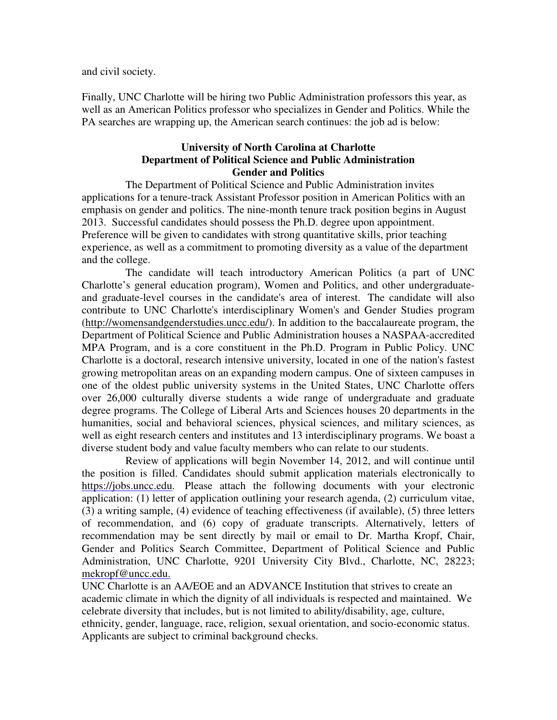and civil society.

Finally, UNC Charlotte will be hiring two Public Administration professors this year, as well as an American Politics professor who specializes in Gender and Politics. While the PA searches are wrapping up, the American search continues: the job ad is below:

#### **University of North Carolina at Charlotte Department of Political Science and Public Administration Gender and Politics**

The Department of Political Science and Public Administration invites applications for a tenure-track Assistant Professor position in American Politics with an emphasis on gender and politics. The nine-month tenure track position begins in August 2013. Successful candidates should possess the Ph.D. degree upon appointment. Preference will be given to candidates with strong quantitative skills, prior teaching experience, as well as a commitment to promoting diversity as a value of the department and the college.

The candidate will teach introductory American Politics (a part of UNC Charlotte's general education program), Women and Politics, and other undergraduateand graduate-level courses in the candidate's area of interest. The candidate will also contribute to UNC Charlotte's interdisciplinary Women's and Gender Studies program (http://womensandgenderstudies.uncc.edu/). In addition to the baccalaureate program, the Department of Political Science and Public Administration houses a NASPAA-accredited MPA Program, and is a core constituent in the Ph.D. Program in Public Policy. UNC Charlotte is a doctoral, research intensive university, located in one of the nation's fastest growing metropolitan areas on an expanding modern campus. One of sixteen campuses in one of the oldest public university systems in the United States, UNC Charlotte offers over 26,000 culturally diverse students a wide range of undergraduate and graduate degree programs. The College of Liberal Arts and Sciences houses 20 departments in the humanities, social and behavioral sciences, physical sciences, and military sciences, as well as eight research centers and institutes and 13 interdisciplinary programs. We boast a diverse student body and value faculty members who can relate to our students.

Review of applications will begin November 14, 2012, and will continue until the position is filled. Candidates should submit application materials electronically to https://jobs.uncc.edu. Please attach the following documents with your electronic application: (1) letter of application outlining your research agenda, (2) curriculum vitae, (3) a writing sample, (4) evidence of teaching effectiveness (if available), (5) three letters of recommendation, and (6) copy of graduate transcripts. Alternatively, letters of recommendation may be sent directly by mail or email to Dr. Martha Kropf, Chair, Gender and Politics Search Committee, Department of Political Science and Public Administration, UNC Charlotte, 9201 University City Blvd., Charlotte, NC, 28223; mekropf@uncc.edu.

UNC Charlotte is an AA/EOE and an ADVANCE Institution that strives to create an academic climate in which the dignity of all individuals is respected and maintained. We celebrate diversity that includes, but is not limited to ability/disability, age, culture, ethnicity, gender, language, race, religion, sexual orientation, and socio-economic status. Applicants are subject to criminal background checks.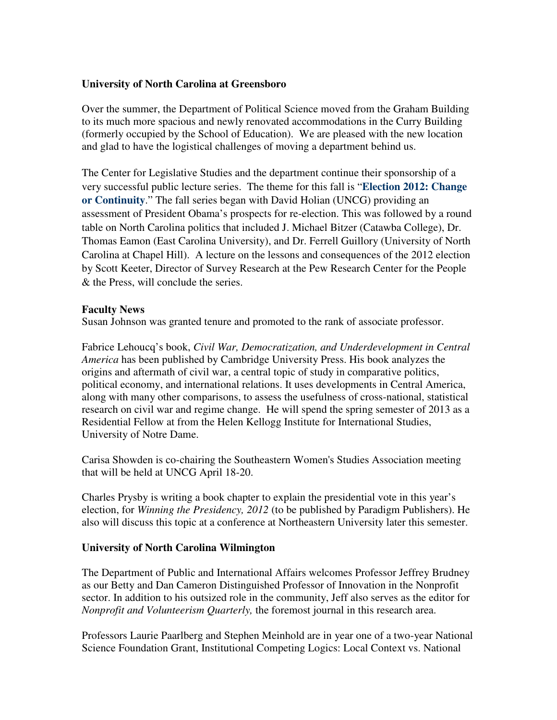#### **University of North Carolina at Greensboro**

Over the summer, the Department of Political Science moved from the Graham Building to its much more spacious and newly renovated accommodations in the Curry Building (formerly occupied by the School of Education). We are pleased with the new location and glad to have the logistical challenges of moving a department behind us.

The Center for Legislative Studies and the department continue their sponsorship of a very successful public lecture series. The theme for this fall is "**Election 2012: Change or Continuity**." The fall series began with David Holian (UNCG) providing an assessment of President Obama's prospects for re-election. This was followed by a round table on North Carolina politics that included J. Michael Bitzer (Catawba College), Dr. Thomas Eamon (East Carolina University), and Dr. Ferrell Guillory (University of North Carolina at Chapel Hill). A lecture on the lessons and consequences of the 2012 election by Scott Keeter, Director of Survey Research at the Pew Research Center for the People & the Press, will conclude the series.

#### **Faculty News**

Susan Johnson was granted tenure and promoted to the rank of associate professor.

Fabrice Lehoucq's book, *Civil War, Democratization, and Underdevelopment in Central America* has been published by Cambridge University Press. His book analyzes the origins and aftermath of civil war, a central topic of study in comparative politics, political economy, and international relations. It uses developments in Central America, along with many other comparisons, to assess the usefulness of cross-national, statistical research on civil war and regime change. He will spend the spring semester of 2013 as a Residential Fellow at from the Helen Kellogg Institute for International Studies, University of Notre Dame.

Carisa Showden is co-chairing the Southeastern Women's Studies Association meeting that will be held at UNCG April 18-20.

Charles Prysby is writing a book chapter to explain the presidential vote in this year's election, for *Winning the Presidency, 2012* (to be published by Paradigm Publishers). He also will discuss this topic at a conference at Northeastern University later this semester.

#### **University of North Carolina Wilmington**

The Department of Public and International Affairs welcomes Professor Jeffrey Brudney as our Betty and Dan Cameron Distinguished Professor of Innovation in the Nonprofit sector. In addition to his outsized role in the community, Jeff also serves as the editor for *Nonprofit and Volunteerism Quarterly,* the foremost journal in this research area.

Professors Laurie Paarlberg and Stephen Meinhold are in year one of a two-year National Science Foundation Grant, Institutional Competing Logics: Local Context vs. National